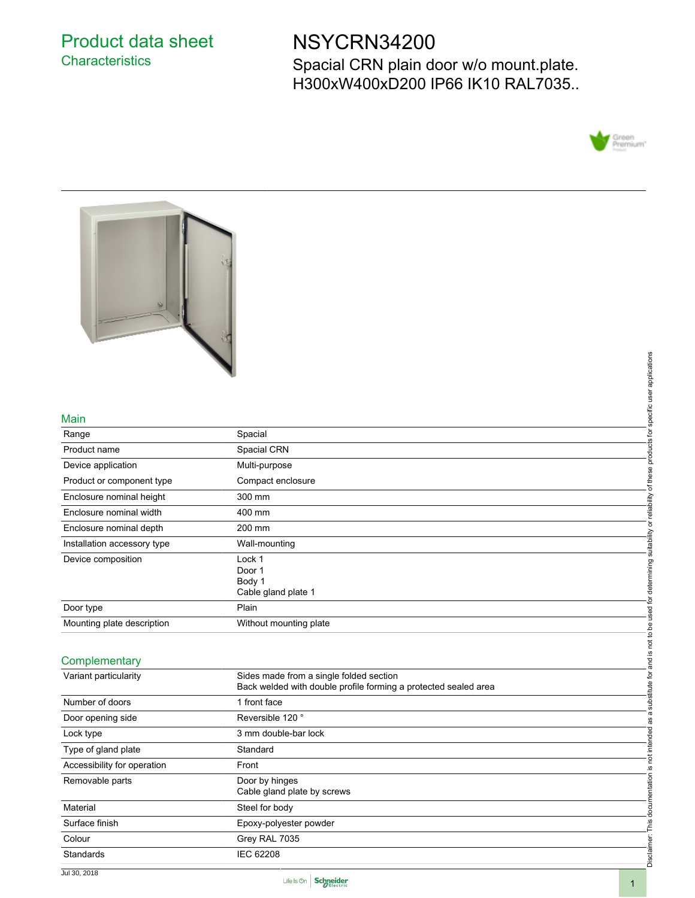# Product data sheet **Characteristics**

# NSYCRN34200

Spacial CRN plain door w/o mount.plate. H300xW400xD200 IP66 IK10 RAL7035..





#### Main

|                             |                                                                 | applications         |
|-----------------------------|-----------------------------------------------------------------|----------------------|
|                             |                                                                 |                      |
|                             |                                                                 | user                 |
|                             |                                                                 |                      |
| Main                        |                                                                 | specific             |
| Range                       | Spacial                                                         |                      |
| Product name                | Spacial CRN                                                     | products for         |
| Device application          | Multi-purpose                                                   |                      |
| Product or component type   | Compact enclosure                                               | of these             |
| Enclosure nominal height    | 300 mm                                                          |                      |
| Enclosure nominal width     | 400 mm                                                          | reliability          |
| Enclosure nominal depth     | 200 mm                                                          | $\overline{\sigma}$  |
| Installation accessory type | Wall-mounting                                                   | suitability          |
| Device composition          | Lock 1                                                          |                      |
|                             | Door 1                                                          | determining          |
|                             | Body 1                                                          |                      |
|                             | Cable gland plate 1                                             |                      |
| Door type                   | Plain                                                           | ۰è<br>used           |
| Mounting plate description  | Without mounting plate                                          |                      |
|                             |                                                                 | not to be            |
| Complementary               |                                                                 | <u>.ഗ</u><br>en<br>G |
|                             |                                                                 |                      |
| Variant particularity       | Sides made from a single folded section                         | ð<br>₫               |
|                             | Back welded with double profile forming a protected sealed area |                      |

#### **Complementary**

| Main                        |                                                                 | specific user applications                                                |
|-----------------------------|-----------------------------------------------------------------|---------------------------------------------------------------------------|
| Range                       | Spacial                                                         |                                                                           |
| Product name                | Spacial CRN                                                     | products for                                                              |
| Device application          | Multi-purpose                                                   |                                                                           |
| Product or component type   | Compact enclosure                                               |                                                                           |
| Enclosure nominal height    | 300 mm                                                          |                                                                           |
| Enclosure nominal width     | 400 mm                                                          |                                                                           |
| Enclosure nominal depth     | 200 mm                                                          |                                                                           |
| Installation accessory type | Wall-mounting                                                   |                                                                           |
| Device composition          | Lock 1                                                          |                                                                           |
|                             | Door 1                                                          |                                                                           |
|                             | Body 1                                                          |                                                                           |
|                             | Cable gland plate 1                                             |                                                                           |
| Door type                   | Plain                                                           |                                                                           |
| Mounting plate description  | Without mounting plate                                          |                                                                           |
|                             |                                                                 |                                                                           |
| Complementary               |                                                                 | and is not to be used for determining suitability or reliability of these |
| Variant particularity       | Sides made from a single folded section                         |                                                                           |
|                             | Back welded with double profile forming a protected sealed area |                                                                           |
| Number of doors             | 1 front face                                                    |                                                                           |
| Door opening side           | Reversible 120°                                                 |                                                                           |
| Lock type                   | 3 mm double-bar lock                                            |                                                                           |
| Type of gland plate         | Standard                                                        |                                                                           |
| Accessibility for operation | Front                                                           |                                                                           |
| Removable parts             | Door by hinges                                                  |                                                                           |
|                             | Cable gland plate by screws                                     |                                                                           |
| Material                    | Steel for body                                                  |                                                                           |
| Surface finish              | Epoxy-polyester powder                                          |                                                                           |
| Colour                      | Grey RAL 7035                                                   |                                                                           |
| Standards                   | <b>IEC 62208</b>                                                | Disclaimer: This documentation is not intended as a substitute for        |
|                             |                                                                 |                                                                           |

Jul 30, 2018